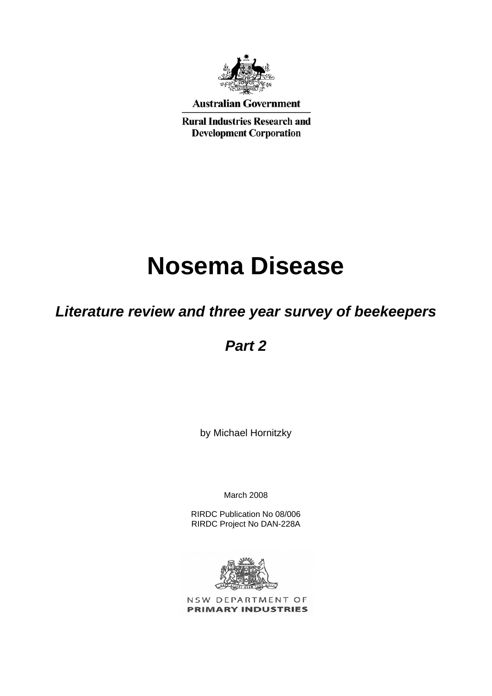

**Australian Government** 

**Rural Industries Research and Development Corporation** 

# **Nosema Disease**

# *Literature review and three year survey of beekeepers*

# *Part 2*

by Michael Hornitzky

March 2008

RIRDC Publication No 08/006 RIRDC Project No DAN-228A



NSW DEPARTMENT OF **PRIMARY INDUSTRIES**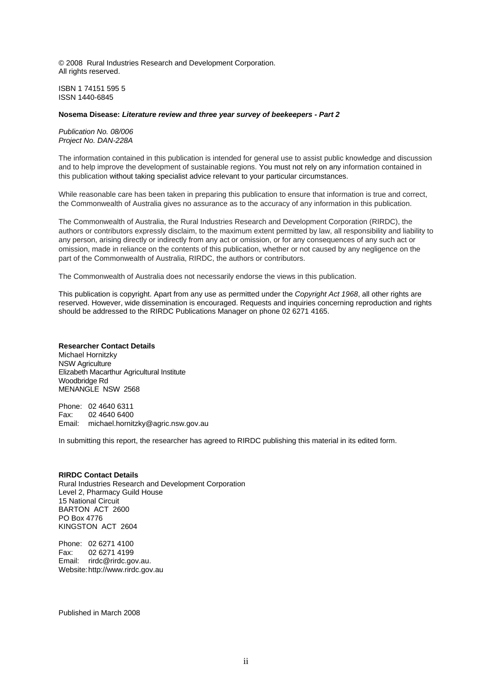© 2008 Rural Industries Research and Development Corporation. All rights reserved.

ISBN 1 74151 595 5 ISSN 1440-6845

#### **Nosema Disease:** *Literature review and three year survey of beekeepers - Part 2*

*Publication No. 08/006 Project No. DAN-228A*

The information contained in this publication is intended for general use to assist public knowledge and discussion and to help improve the development of sustainable regions. You must not rely on any information contained in this publication without taking specialist advice relevant to your particular circumstances.

While reasonable care has been taken in preparing this publication to ensure that information is true and correct, the Commonwealth of Australia gives no assurance as to the accuracy of any information in this publication.

The Commonwealth of Australia, the Rural Industries Research and Development Corporation (RIRDC), the authors or contributors expressly disclaim, to the maximum extent permitted by law, all responsibility and liability to any person, arising directly or indirectly from any act or omission, or for any consequences of any such act or omission, made in reliance on the contents of this publication, whether or not caused by any negligence on the part of the Commonwealth of Australia, RIRDC, the authors or contributors.

The Commonwealth of Australia does not necessarily endorse the views in this publication.

This publication is copyright. Apart from any use as permitted under the *Copyright Act 1968*, all other rights are reserved. However, wide dissemination is encouraged. Requests and inquiries concerning reproduction and rights should be addressed to the RIRDC Publications Manager on phone 02 6271 4165.

#### **Researcher Contact Details**

Michael Hornitzky NSW Agriculture Elizabeth Macarthur Agricultural Institute Woodbridge Rd MENANGLE NSW 2568

Phone: 02 4640 6311 Fax: 02 4640 6400 Email: michael.hornitzky@agric.nsw.gov.au

In submitting this report, the researcher has agreed to RIRDC publishing this material in its edited form.

#### **RIRDC Contact Details**

Rural Industries Research and Development Corporation Level 2, Pharmacy Guild House 15 National Circuit BARTON ACT 2600 PO Box 4776 KINGSTON ACT 2604

Phone: 02 6271 4100 Fax: 02 6271 4199 Email: rirdc@rirdc.gov.au. Website: http://www.rirdc.gov.au

Published in March 2008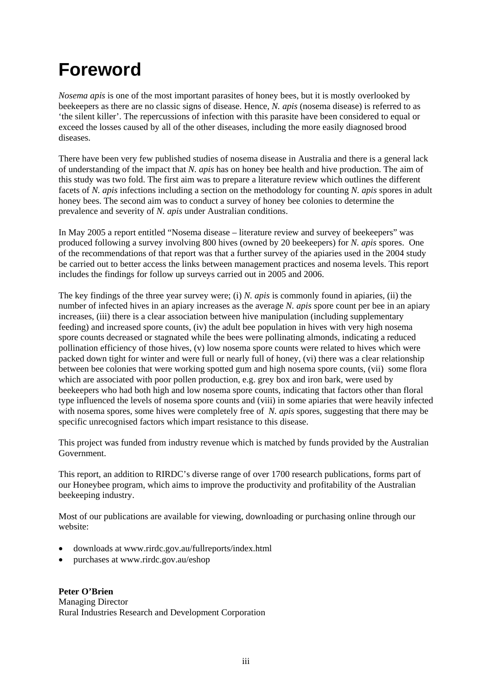# <span id="page-2-0"></span>**Foreword**

*Nosema apis* is one of the most important parasites of honey bees, but it is mostly overlooked by beekeepers as there are no classic signs of disease. Hence, *N. apis* (nosema disease) is referred to as 'the silent killer'. The repercussions of infection with this parasite have been considered to equal or exceed the losses caused by all of the other diseases, including the more easily diagnosed brood diseases.

There have been very few published studies of nosema disease in Australia and there is a general lack of understanding of the impact that *N. apis* has on honey bee health and hive production. The aim of this study was two fold. The first aim was to prepare a literature review which outlines the different facets of *N. apis* infections including a section on the methodology for counting *N. apis* spores in adult honey bees. The second aim was to conduct a survey of honey bee colonies to determine the prevalence and severity of *N. apis* under Australian conditions.

In May 2005 a report entitled "Nosema disease – literature review and survey of beekeepers" was produced following a survey involving 800 hives (owned by 20 beekeepers) for *N. apis* spores. One of the recommendations of that report was that a further survey of the apiaries used in the 2004 study be carried out to better access the links between management practices and nosema levels. This report includes the findings for follow up surveys carried out in 2005 and 2006.

The key findings of the three year survey were; (i) *N. apis* is commonly found in apiaries, (ii) the number of infected hives in an apiary increases as the average *N. apis* spore count per bee in an apiary increases, (iii) there is a clear association between hive manipulation (including supplementary feeding) and increased spore counts, (iv) the adult bee population in hives with very high nosema spore counts decreased or stagnated while the bees were pollinating almonds, indicating a reduced pollination efficiency of those hives, (v) low nosema spore counts were related to hives which were packed down tight for winter and were full or nearly full of honey, (vi) there was a clear relationship between bee colonies that were working spotted gum and high nosema spore counts, (vii) some flora which are associated with poor pollen production, e.g. grey box and iron bark, were used by beekeepers who had both high and low nosema spore counts, indicating that factors other than floral type influenced the levels of nosema spore counts and (viii) in some apiaries that were heavily infected with nosema spores, some hives were completely free of *N. apis* spores, suggesting that there may be specific unrecognised factors which impart resistance to this disease.

This project was funded from industry revenue which is matched by funds provided by the Australian Government.

This report, an addition to RIRDC's diverse range of over 1700 research publications, forms part of our Honeybee program, which aims to improve the productivity and profitability of the Australian beekeeping industry.

Most of our publications are available for viewing, downloading or purchasing online through our website:

- downloads at www.rirdc.gov.au/fullreports/index.html
- purchases at www.rirdc.gov.au/eshop

**Peter O'Brien**  Managing Director Rural Industries Research and Development Corporation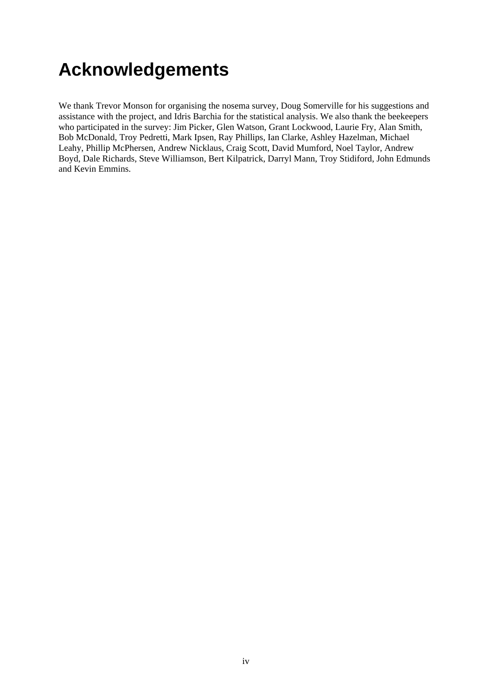# <span id="page-3-0"></span>**Acknowledgements**

We thank Trevor Monson for organising the nosema survey, Doug Somerville for his suggestions and assistance with the project, and Idris Barchia for the statistical analysis. We also thank the beekeepers who participated in the survey: Jim Picker, Glen Watson, Grant Lockwood, Laurie Fry, Alan Smith, Bob McDonald, Troy Pedretti, Mark Ipsen, Ray Phillips, Ian Clarke, Ashley Hazelman, Michael Leahy, Phillip McPhersen, Andrew Nicklaus, Craig Scott, David Mumford, Noel Taylor, Andrew Boyd, Dale Richards, Steve Williamson, Bert Kilpatrick, Darryl Mann, Troy Stidiford, John Edmunds and Kevin Emmins.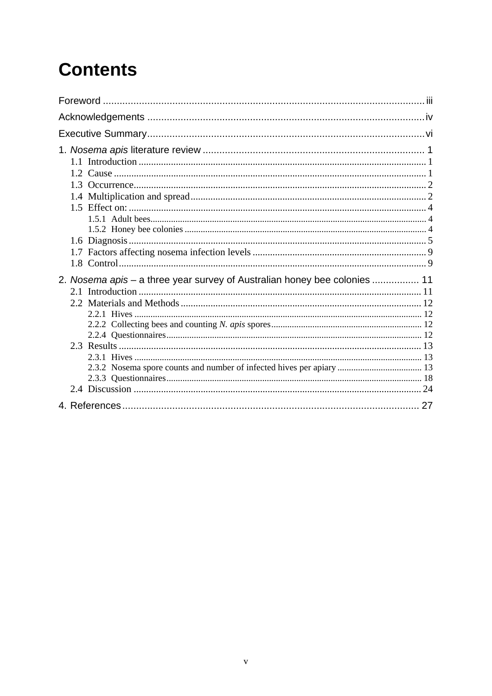# **Contents**

| 2. Nosema apis – a three year survey of Australian honey bee colonies  11 |  |
|---------------------------------------------------------------------------|--|
|                                                                           |  |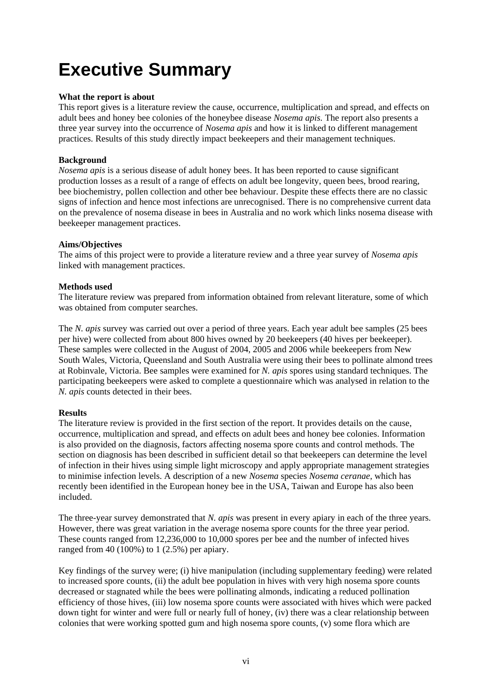# <span id="page-5-0"></span>**Executive Summary**

### **What the report is about**

This report gives is a literature review the cause, occurrence, multiplication and spread, and effects on adult bees and honey bee colonies of the honeybee disease *Nosema apis.* The report also presents a three year survey into the occurrence of *Nosema apis* and how it is linked to different management practices. Results of this study directly impact beekeepers and their management techniques.

## **Background**

*Nosema apis* is a serious disease of adult honey bees. It has been reported to cause significant production losses as a result of a range of effects on adult bee longevity, queen bees, brood rearing, bee biochemistry, pollen collection and other bee behaviour. Despite these effects there are no classic signs of infection and hence most infections are unrecognised. There is no comprehensive current data on the prevalence of nosema disease in bees in Australia and no work which links nosema disease with beekeeper management practices.

### **Aims/Objectives**

The aims of this project were to provide a literature review and a three year survey of *Nosema apis* linked with management practices.

### **Methods used**

The literature review was prepared from information obtained from relevant literature, some of which was obtained from computer searches.

The *N. apis* survey was carried out over a period of three years. Each year adult bee samples (25 bees per hive) were collected from about 800 hives owned by 20 beekeepers (40 hives per beekeeper). These samples were collected in the August of 2004, 2005 and 2006 while beekeepers from New South Wales, Victoria, Queensland and South Australia were using their bees to pollinate almond trees at Robinvale, Victoria. Bee samples were examined for *N. apis* spores using standard techniques. The participating beekeepers were asked to complete a questionnaire which was analysed in relation to the *N. apis* counts detected in their bees.

## **Results**

The literature review is provided in the first section of the report. It provides details on the cause, occurrence, multiplication and spread, and effects on adult bees and honey bee colonies. Information is also provided on the diagnosis, factors affecting nosema spore counts and control methods. The section on diagnosis has been described in sufficient detail so that beekeepers can determine the level of infection in their hives using simple light microscopy and apply appropriate management strategies to minimise infection levels. A description of a new *Nosema* species *Nosema ceranae,* which has recently been identified in the European honey bee in the USA, Taiwan and Europe has also been included.

The three-year survey demonstrated that *N. apis* was present in every apiary in each of the three years. However, there was great variation in the average nosema spore counts for the three year period. These counts ranged from 12,236,000 to 10,000 spores per bee and the number of infected hives ranged from 40 (100%) to 1 (2.5%) per apiary.

Key findings of the survey were; (i) hive manipulation (including supplementary feeding) were related to increased spore counts, (ii) the adult bee population in hives with very high nosema spore counts decreased or stagnated while the bees were pollinating almonds, indicating a reduced pollination efficiency of those hives, (iii) low nosema spore counts were associated with hives which were packed down tight for winter and were full or nearly full of honey, (iv) there was a clear relationship between colonies that were working spotted gum and high nosema spore counts, (v) some flora which are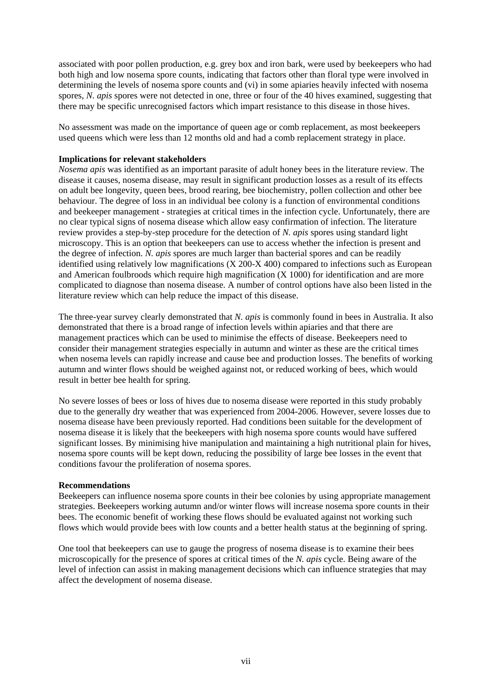associated with poor pollen production, e.g. grey box and iron bark, were used by beekeepers who had both high and low nosema spore counts, indicating that factors other than floral type were involved in determining the levels of nosema spore counts and (vi) in some apiaries heavily infected with nosema spores, *N. apis* spores were not detected in one, three or four of the 40 hives examined, suggesting that there may be specific unrecognised factors which impart resistance to this disease in those hives.

No assessment was made on the importance of queen age or comb replacement, as most beekeepers used queens which were less than 12 months old and had a comb replacement strategy in place.

### **Implications for relevant stakeholders**

*Nosema apis* was identified as an important parasite of adult honey bees in the literature review. The disease it causes, nosema disease, may result in significant production losses as a result of its effects on adult bee longevity, queen bees, brood rearing, bee biochemistry, pollen collection and other bee behaviour. The degree of loss in an individual bee colony is a function of environmental conditions and beekeeper management - strategies at critical times in the infection cycle. Unfortunately, there are no clear typical signs of nosema disease which allow easy confirmation of infection. The literature review provides a step-by-step procedure for the detection of *N. apis* spores using standard light microscopy. This is an option that beekeepers can use to access whether the infection is present and the degree of infection. *N. apis* spores are much larger than bacterial spores and can be readily identified using relatively low magnifications (X 200-X 400) compared to infections such as European and American foulbroods which require high magnification (X 1000) for identification and are more complicated to diagnose than nosema disease. A number of control options have also been listed in the literature review which can help reduce the impact of this disease.

The three-year survey clearly demonstrated that *N. apis* is commonly found in bees in Australia. It also demonstrated that there is a broad range of infection levels within apiaries and that there are management practices which can be used to minimise the effects of disease. Beekeepers need to consider their management strategies especially in autumn and winter as these are the critical times when nosema levels can rapidly increase and cause bee and production losses. The benefits of working autumn and winter flows should be weighed against not, or reduced working of bees, which would result in better bee health for spring.

No severe losses of bees or loss of hives due to nosema disease were reported in this study probably due to the generally dry weather that was experienced from 2004-2006. However, severe losses due to nosema disease have been previously reported. Had conditions been suitable for the development of nosema disease it is likely that the beekeepers with high nosema spore counts would have suffered significant losses. By minimising hive manipulation and maintaining a high nutritional plain for hives, nosema spore counts will be kept down, reducing the possibility of large bee losses in the event that conditions favour the proliferation of nosema spores.

### **Recommendations**

Beekeepers can influence nosema spore counts in their bee colonies by using appropriate management strategies. Beekeepers working autumn and/or winter flows will increase nosema spore counts in their bees. The economic benefit of working these flows should be evaluated against not working such flows which would provide bees with low counts and a better health status at the beginning of spring.

One tool that beekeepers can use to gauge the progress of nosema disease is to examine their bees microscopically for the presence of spores at critical times of the *N. apis* cycle. Being aware of the level of infection can assist in making management decisions which can influence strategies that may affect the development of nosema disease.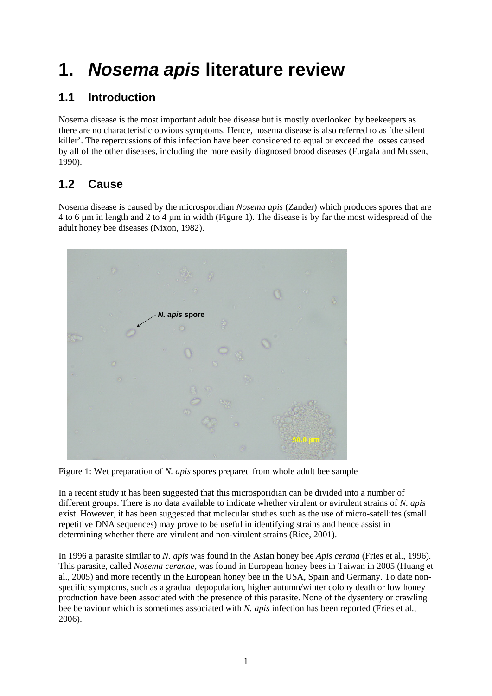# <span id="page-7-0"></span>**1.** *Nosema apis* **literature review**

# **1.1 Introduction**

Nosema disease is the most important adult bee disease but is mostly overlooked by beekeepers as there are no characteristic obvious symptoms. Hence, nosema disease is also referred to as 'the silent killer'. The repercussions of this infection have been considered to equal or exceed the losses caused by all of the other diseases, including the more easily diagnosed brood diseases (Furgala and Mussen, 1990).

# **1.2 Cause**

Nosema disease is caused by the microsporidian *Nosema apis* (Zander) which produces spores that are 4 to 6 µm in length and 2 to 4 µm in width (Figure 1). The disease is by far the most widespread of the adult honey bee diseases (Nixon, 1982).



Figure 1: Wet preparation of *N. apis* spores prepared from whole adult bee sample

In a recent study it has been suggested that this microsporidian can be divided into a number of different groups. There is no data available to indicate whether virulent or avirulent strains of *N. apis*  exist. However, it has been suggested that molecular studies such as the use of micro-satellites (small repetitive DNA sequences) may prove to be useful in identifying strains and hence assist in determining whether there are virulent and non-virulent strains (Rice, 2001).

In 1996 a parasite similar to *N. apis* was found in the Asian honey bee *Apis cerana* (Fries et al., 1996)*.*  This parasite, called *Nosema ceranae,* was found in European honey bees in Taiwan in 2005 (Huang et al., 2005) and more recently in the European honey bee in the USA, Spain and Germany. To date nonspecific symptoms, such as a gradual depopulation, higher autumn/winter colony death or low honey production have been associated with the presence of this parasite. None of the dysentery or crawling bee behaviour which is sometimes associated with *N. apis* infection has been reported (Fries et al., 2006).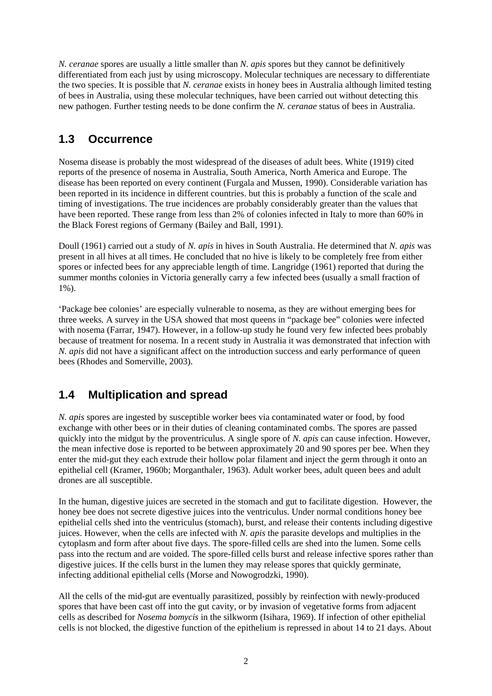<span id="page-8-0"></span>*N. ceranae* spores are usually a little smaller than *N. apis* spores but they cannot be definitively differentiated from each just by using microscopy. Molecular techniques are necessary to differentiate the two species. It is possible that *N. ceranae* exists in honey bees in Australia although limited testing of bees in Australia, using these molecular techniques, have been carried out without detecting this new pathogen. Further testing needs to be done confirm the *N. ceranae* status of bees in Australia.

## **1.3 Occurrence**

Nosema disease is probably the most widespread of the diseases of adult bees. White (1919) cited reports of the presence of nosema in Australia, South America, North America and Europe. The disease has been reported on every continent (Furgala and Mussen, 1990). Considerable variation has been reported in its incidence in different countries. but this is probably a function of the scale and timing of investigations. The true incidences are probably considerably greater than the values that have been reported. These range from less than 2% of colonies infected in Italy to more than 60% in the Black Forest regions of Germany (Bailey and Ball, 1991).

Doull (1961) carried out a study of *N. apis* in hives in South Australia. He determined that *N. apis* was present in all hives at all times. He concluded that no hive is likely to be completely free from either spores or infected bees for any appreciable length of time. Langridge (1961) reported that during the summer months colonies in Victoria generally carry a few infected bees (usually a small fraction of 1%).

'Package bee colonies' are especially vulnerable to nosema, as they are without emerging bees for three weeks*.* A survey in the USA showed that most queens in "package bee" colonies were infected with nosema (Farrar, 1947). However, in a follow-up study he found very few infected bees probably because of treatment for nosema*.* In a recent study in Australia it was demonstrated that infection with *N. apis* did not have a significant affect on the introduction success and early performance of queen bees (Rhodes and Somerville, 2003).

# **1.4 Multiplication and spread**

*N. apis* spores are ingested by susceptible worker bees via contaminated water or food, by food exchange with other bees or in their duties of cleaning contaminated combs. The spores are passed quickly into the midgut by the proventriculus. A single spore of *N. apis* can cause infection. However, the mean infective dose is reported to be between approximately 20 and 90 spores per bee. When they enter the mid-gut they each extrude their hollow polar filament and inject the germ through it onto an epithelial cell (Kramer, 1960b; Morganthaler, 1963). Adult worker bees, adult queen bees and adult drones are all susceptible.

In the human, digestive juices are secreted in the stomach and gut to facilitate digestion. However, the honey bee does not secrete digestive juices into the ventriculus. Under normal conditions honey bee epithelial cells shed into the ventriculus (stomach), burst, and release their contents including digestive juices. However, when the cells are infected with *N. apis* the parasite develops and multiplies in the cytoplasm and form after about five days. The spore-filled cells are shed into the lumen. Some cells pass into the rectum and are voided. The spore-filled cells burst and release infective spores rather than digestive juices. If the cells burst in the lumen they may release spores that quickly germinate, infecting additional epithelial cells (Morse and Nowogrodzki, 1990).

All the cells of the mid-gut are eventually parasitized, possibly by reinfection with newly-produced spores that have been cast off into the gut cavity, or by invasion of vegetative forms from adjacent cells as described for *Nosema bomycis* in the silkworm (Isihara, 1969). If infection of other epithelial cells is not blocked, the digestive function of the epithelium is repressed in about 14 to 21 days. About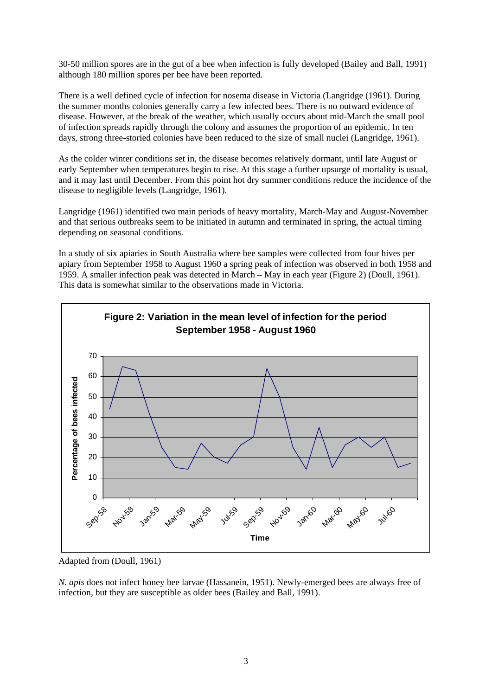30-50 million spores are in the gut of a bee when infection is fully developed (Bailey and Ball, 1991) although 180 million spores per bee have been reported.

There is a well defined cycle of infection for nosema disease in Victoria (Langridge (1961). During the summer months colonies generally carry a few infected bees. There is no outward evidence of disease. However, at the break of the weather, which usually occurs about mid-March the small pool of infection spreads rapidly through the colony and assumes the proportion of an epidemic. In ten days, strong three-storied colonies have been reduced to the size of small nuclei (Langridge, 1961).

As the colder winter conditions set in, the disease becomes relatively dormant, until late August or early September when temperatures begin to rise. At this stage a further upsurge of mortality is usual, and it may last until December. From this point hot dry summer conditions reduce the incidence of the disease to negligible levels (Langridge, 1961).

Langridge (1961) identified two main periods of heavy mortality, March-May and August-November and that serious outbreaks seem to be initiated in autumn and terminated in spring, the actual timing depending on seasonal conditions.

In a study of six apiaries in South Australia where bee samples were collected from four hives per apiary from September 1958 to August 1960 a spring peak of infection was observed in both 1958 and 1959. A smaller infection peak was detected in March – May in each year (Figure 2) (Doull, 1961). This data is somewhat similar to the observations made in Victoria.



Adapted from (Doull, 1961)

*N. apis* does not infect honey bee larvae (Hassanein, 1951). Newly-emerged bees are always free of infection, but they are susceptible as older bees (Bailey and Ball, 1991).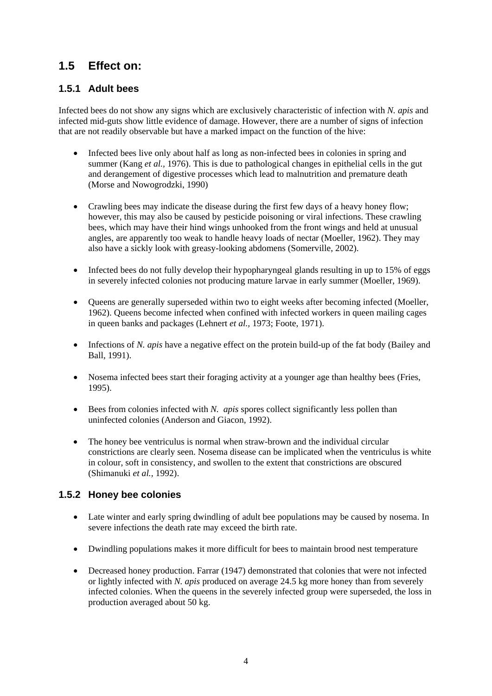## <span id="page-10-0"></span>**1.5 Effect on:**

## **1.5.1 Adult bees**

Infected bees do not show any signs which are exclusively characteristic of infection with *N. apis* and infected mid-guts show little evidence of damage. However, there are a number of signs of infection that are not readily observable but have a marked impact on the function of the hive:

- Infected bees live only about half as long as non-infected bees in colonies in spring and summer (Kang *et al.,* 1976). This is due to pathological changes in epithelial cells in the gut and derangement of digestive processes which lead to malnutrition and premature death (Morse and Nowogrodzki, 1990)
- Crawling bees may indicate the disease during the first few days of a heavy honey flow; however, this may also be caused by pesticide poisoning or viral infections. These crawling bees, which may have their hind wings unhooked from the front wings and held at unusual angles, are apparently too weak to handle heavy loads of nectar (Moeller, 1962). They may also have a sickly look with greasy-looking abdomens (Somerville, 2002).
- Infected bees do not fully develop their hypopharyngeal glands resulting in up to 15% of eggs in severely infected colonies not producing mature larvae in early summer (Moeller, 1969).
- Queens are generally superseded within two to eight weeks after becoming infected (Moeller, 1962). Queens become infected when confined with infected workers in queen mailing cages in queen banks and packages (Lehnert *et al.,* 1973; Foote, 1971).
- Infections of *N. apis* have a negative effect on the protein build-up of the fat body (Bailey and Ball, 1991).
- Nosema infected bees start their foraging activity at a younger age than healthy bees (Fries, 1995).
- Bees from colonies infected with *N. apis* spores collect significantly less pollen than uninfected colonies (Anderson and Giacon, 1992).
- The honey bee ventriculus is normal when straw-brown and the individual circular constrictions are clearly seen. Nosema disease can be implicated when the ventriculus is white in colour, soft in consistency, and swollen to the extent that constrictions are obscured (Shimanuki *et al.,* 1992).

## **1.5.2 Honey bee colonies**

- Late winter and early spring dwindling of adult bee populations may be caused by nosema. In severe infections the death rate may exceed the birth rate.
- Dwindling populations makes it more difficult for bees to maintain brood nest temperature
- Decreased honey production. Farrar (1947) demonstrated that colonies that were not infected or lightly infected with *N. apis* produced on average 24.5 kg more honey than from severely infected colonies. When the queens in the severely infected group were superseded, the loss in production averaged about 50 kg.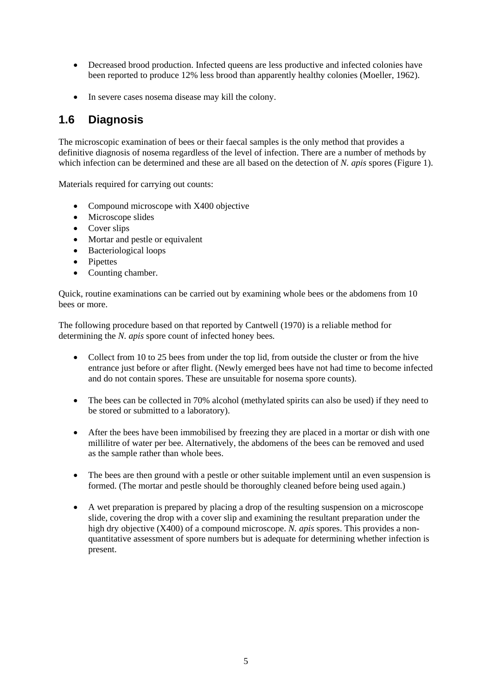- <span id="page-11-0"></span>• Decreased brood production. Infected queens are less productive and infected colonies have been reported to produce 12% less brood than apparently healthy colonies (Moeller, 1962).
- In severe cases nosema disease may kill the colony.

## **1.6 Diagnosis**

The microscopic examination of bees or their faecal samples is the only method that provides a definitive diagnosis of nosema regardless of the level of infection. There are a number of methods by which infection can be determined and these are all based on the detection of *N. apis* spores (Figure 1).

Materials required for carrying out counts:

- Compound microscope with X400 objective
- Microscope slides
- Cover slips
- Mortar and pestle or equivalent
- Bacteriological loops
- Pipettes
- Counting chamber.

Quick, routine examinations can be carried out by examining whole bees or the abdomens from 10 bees or more.

The following procedure based on that reported by Cantwell (1970) is a reliable method for determining the *N. apis* spore count of infected honey bees*.* 

- Collect from 10 to 25 bees from under the top lid, from outside the cluster or from the hive entrance just before or after flight. (Newly emerged bees have not had time to become infected and do not contain spores. These are unsuitable for nosema spore counts).
- The bees can be collected in 70% alcohol (methylated spirits can also be used) if they need to be stored or submitted to a laboratory).
- After the bees have been immobilised by freezing they are placed in a mortar or dish with one millilitre of water per bee. Alternatively, the abdomens of the bees can be removed and used as the sample rather than whole bees.
- The bees are then ground with a pestle or other suitable implement until an even suspension is formed. (The mortar and pestle should be thoroughly cleaned before being used again.)
- A wet preparation is prepared by placing a drop of the resulting suspension on a microscope slide, covering the drop with a cover slip and examining the resultant preparation under the high dry objective (X400) of a compound microscope. *N. apis* spores. This provides a nonquantitative assessment of spore numbers but is adequate for determining whether infection is present.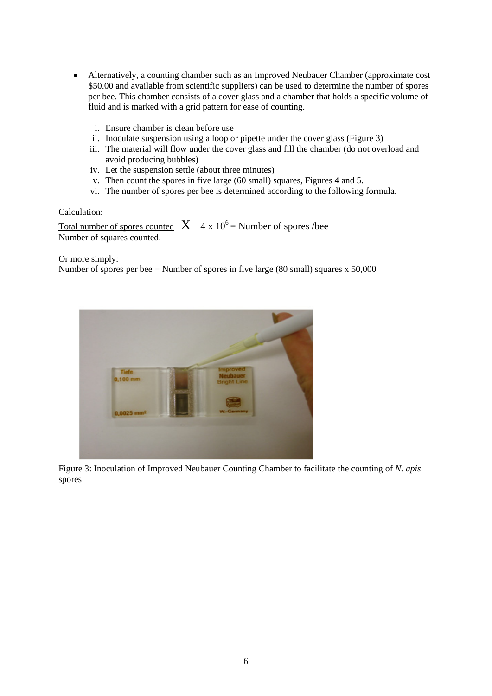- Alternatively, a counting chamber such as an Improved Neubauer Chamber (approximate cost) \$50.00 and available from scientific suppliers) can be used to determine the number of spores per bee. This chamber consists of a cover glass and a chamber that holds a specific volume of fluid and is marked with a grid pattern for ease of counting.
	- i. Ensure chamber is clean before use
	- ii. Inoculate suspension using a loop or pipette under the cover glass (Figure 3)
	- iii. The material will flow under the cover glass and fill the chamber (do not overload and avoid producing bubbles)
	- iv. Let the suspension settle (about three minutes)
	- v. Then count the spores in five large (60 small) squares, Figures 4 and 5.
	- vi. The number of spores per bee is determined according to the following formula.

#### Calculation:

Total number of spores counted  $X \cdot 4 \times 10^6$  = Number of spores /bee Number of squares counted.

Or more simply:

Number of spores per bee = Number of spores in five large (80 small) squares  $x$  50,000



Figure 3: Inoculation of Improved Neubauer Counting Chamber to facilitate the counting of *N. apis*  spores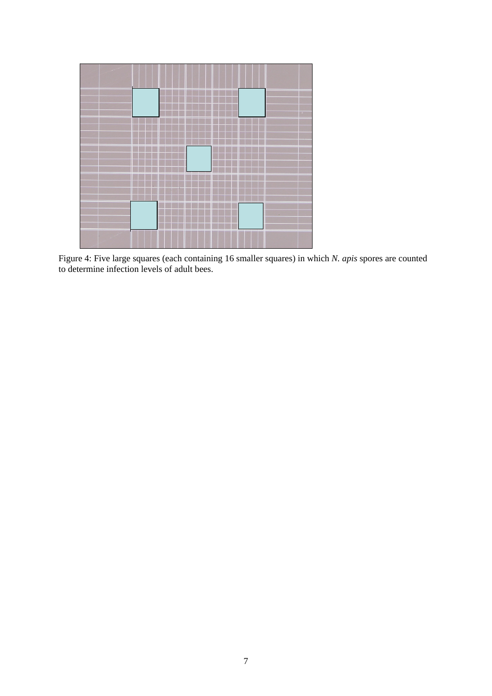

Figure 4: Five large squares (each containing 16 smaller squares) in which *N. apis* spores are counted to determine infection levels of adult bees.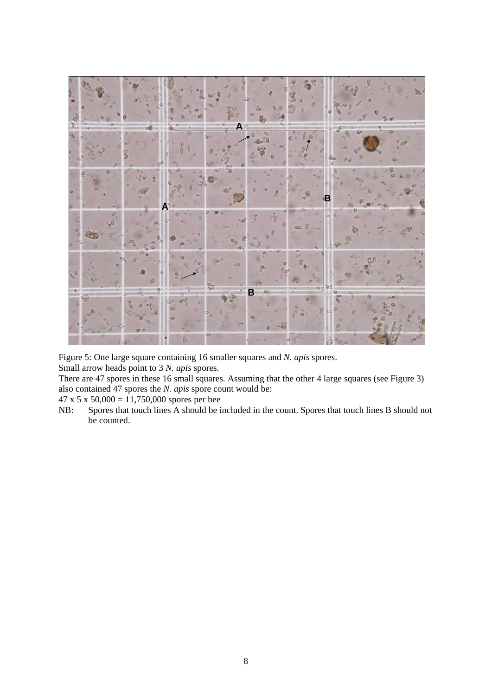

Figure 5: One large square containing 16 smaller squares and *N. apis* spores.

Small arrow heads point to 3 *N. apis* spores.

There are 47 spores in these 16 small squares. Assuming that the other 4 large squares (see Figure 3) also contained 47 spores the *N. apis* spore count would be:

 $47 \times 5 \times 50,000 = 11,750,000$  spores per bee

NB: Spores that touch lines A should be included in the count. Spores that touch lines B should not be counted.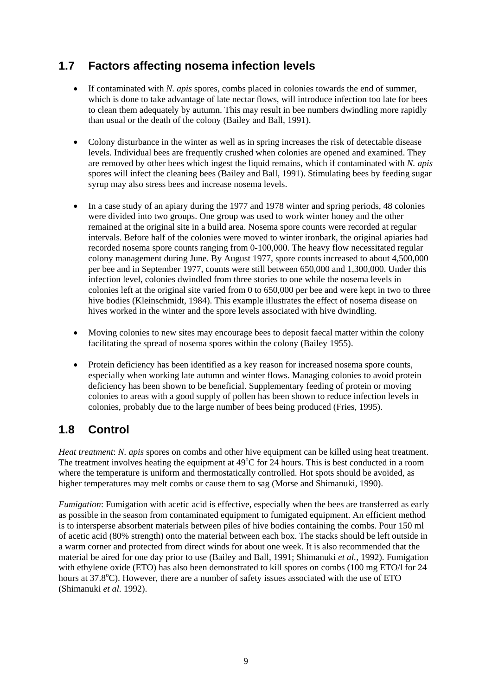## <span id="page-15-0"></span>**1.7 Factors affecting nosema infection levels**

- If contaminated with *N. apis* spores, combs placed in colonies towards the end of summer, which is done to take advantage of late nectar flows, will introduce infection too late for bees to clean them adequately by autumn. This may result in bee numbers dwindling more rapidly than usual or the death of the colony (Bailey and Ball, 1991).
- Colony disturbance in the winter as well as in spring increases the risk of detectable disease levels. Individual bees are frequently crushed when colonies are opened and examined. They are removed by other bees which ingest the liquid remains, which if contaminated with *N. apis*  spores will infect the cleaning bees (Bailey and Ball, 1991). Stimulating bees by feeding sugar syrup may also stress bees and increase nosema levels.
- In a case study of an apiary during the 1977 and 1978 winter and spring periods, 48 colonies were divided into two groups. One group was used to work winter honey and the other remained at the original site in a build area. Nosema spore counts were recorded at regular intervals. Before half of the colonies were moved to winter ironbark, the original apiaries had recorded nosema spore counts ranging from 0-100,000. The heavy flow necessitated regular colony management during June. By August 1977, spore counts increased to about 4,500,000 per bee and in September 1977, counts were still between 650,000 and 1,300,000. Under this infection level, colonies dwindled from three stories to one while the nosema levels in colonies left at the original site varied from 0 to 650,000 per bee and were kept in two to three hive bodies (Kleinschmidt, 1984). This example illustrates the effect of nosema disease on hives worked in the winter and the spore levels associated with hive dwindling.
- Moving colonies to new sites may encourage bees to deposit faecal matter within the colony facilitating the spread of nosema spores within the colony (Bailey 1955).
- Protein deficiency has been identified as a key reason for increased nosema spore counts, especially when working late autumn and winter flows. Managing colonies to avoid protein deficiency has been shown to be beneficial. Supplementary feeding of protein or moving colonies to areas with a good supply of pollen has been shown to reduce infection levels in colonies, probably due to the large number of bees being produced (Fries, 1995).

## **1.8 Control**

*Heat treatment*: *N. apis* spores on combs and other hive equipment can be killed using heat treatment. The treatment involves heating the equipment at  $49^{\circ}$ C for  $24$  hours. This is best conducted in a room where the temperature is uniform and thermostatically controlled. Hot spots should be avoided, as higher temperatures may melt combs or cause them to sag (Morse and Shimanuki, 1990).

*Fumigation*: Fumigation with acetic acid is effective, especially when the bees are transferred as early as possible in the season from contaminated equipment to fumigated equipment. An efficient method is to intersperse absorbent materials between piles of hive bodies containing the combs. Pour 150 ml of acetic acid (80% strength) onto the material between each box. The stacks should be left outside in a warm corner and protected from direct winds for about one week. It is also recommended that the material be aired for one day prior to use (Bailey and Ball, 1991; Shimanuki *et al.,* 1992). Fumigation with ethylene oxide (ETO) has also been demonstrated to kill spores on combs (100 mg ETO/l for 24 hours at 37.8°C). However, there are a number of safety issues associated with the use of ETO (Shimanuki *et al*. 1992).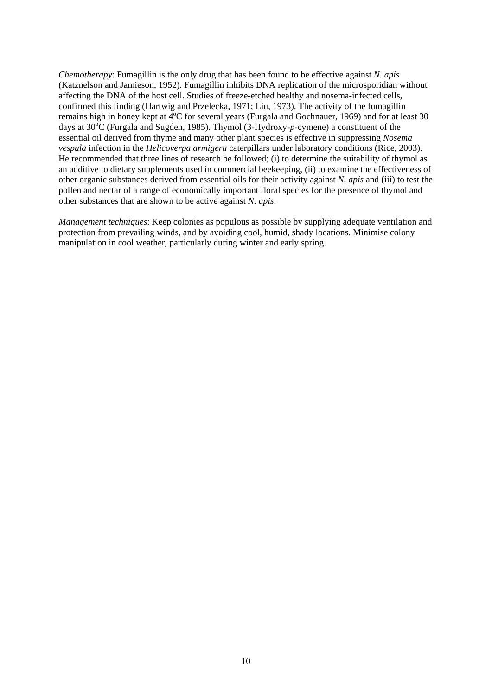*Chemotherapy*: Fumagillin is the only drug that has been found to be effective against *N. apis* (Katznelson and Jamieson, 1952). Fumagillin inhibits DNA replication of the microsporidian without affecting the DNA of the host cell. Studies of freeze-etched healthy and nosema-infected cells, confirmed this finding (Hartwig and Przelecka, 1971; Liu, 1973). The activity of the fumagillin remains high in honey kept at 4°C for several years (Furgala and Gochnauer, 1969) and for at least 30 days at 30<sup>o</sup>C (Furgala and Sugden, 1985). Thymol (3-Hydroxy-p-cymene) a constituent of the essential oil derived from thyme and many other plant species is effective in suppressing *Nosema vespula* infection in the *Helicoverpa armigera* caterpillars under laboratory conditions (Rice, 2003). He recommended that three lines of research be followed; (i) to determine the suitability of thymol as an additive to dietary supplements used in commercial beekeeping, (ii) to examine the effectiveness of other organic substances derived from essential oils for their activity against *N. apis* and (iii) to test the pollen and nectar of a range of economically important floral species for the presence of thymol and other substances that are shown to be active against *N. apis*.

*Management techniques*: Keep colonies as populous as possible by supplying adequate ventilation and protection from prevailing winds, and by avoiding cool, humid, shady locations. Minimise colony manipulation in cool weather, particularly during winter and early spring.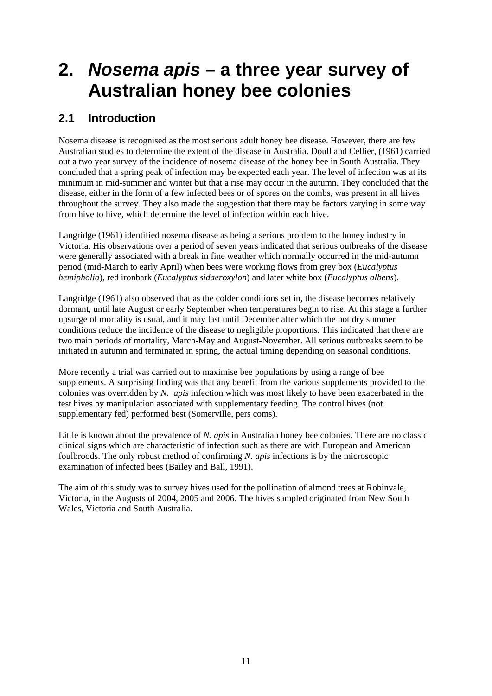# <span id="page-17-0"></span>**2.** *Nosema apis –* **a three year survey of Australian honey bee colonies**

## **2.1 Introduction**

Nosema disease is recognised as the most serious adult honey bee disease. However, there are few Australian studies to determine the extent of the disease in Australia. Doull and Cellier, (1961) carried out a two year survey of the incidence of nosema disease of the honey bee in South Australia. They concluded that a spring peak of infection may be expected each year. The level of infection was at its minimum in mid-summer and winter but that a rise may occur in the autumn. They concluded that the disease, either in the form of a few infected bees or of spores on the combs, was present in all hives throughout the survey. They also made the suggestion that there may be factors varying in some way from hive to hive, which determine the level of infection within each hive.

Langridge (1961) identified nosema disease as being a serious problem to the honey industry in Victoria. His observations over a period of seven years indicated that serious outbreaks of the disease were generally associated with a break in fine weather which normally occurred in the mid-autumn period (mid-March to early April) when bees were working flows from grey box (*Eucalyptus hemipholia*), red ironbark (*Eucalyptus sidaeroxylon*) and later white box (*Eucalyptus albens*).

Langridge (1961) also observed that as the colder conditions set in, the disease becomes relatively dormant, until late August or early September when temperatures begin to rise. At this stage a further upsurge of mortality is usual, and it may last until December after which the hot dry summer conditions reduce the incidence of the disease to negligible proportions. This indicated that there are two main periods of mortality, March-May and August-November. All serious outbreaks seem to be initiated in autumn and terminated in spring, the actual timing depending on seasonal conditions.

More recently a trial was carried out to maximise bee populations by using a range of bee supplements. A surprising finding was that any benefit from the various supplements provided to the colonies was overridden by *N. apis* infection which was most likely to have been exacerbated in the test hives by manipulation associated with supplementary feeding. The control hives (not supplementary fed) performed best (Somerville, pers coms).

Little is known about the prevalence of *N. apis* in Australian honey bee colonies. There are no classic clinical signs which are characteristic of infection such as there are with European and American foulbroods. The only robust method of confirming *N. apis* infections is by the microscopic examination of infected bees (Bailey and Ball, 1991).

The aim of this study was to survey hives used for the pollination of almond trees at Robinvale, Victoria, in the Augusts of 2004, 2005 and 2006. The hives sampled originated from New South Wales, Victoria and South Australia.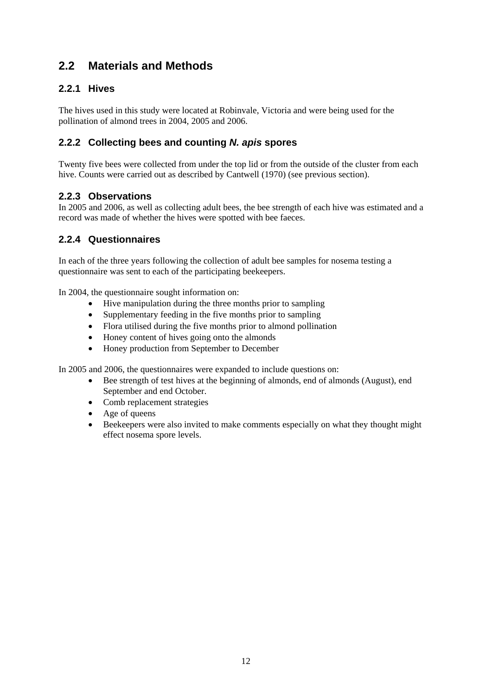## <span id="page-18-0"></span>**2.2 Materials and Methods**

## **2.2.1 Hives**

The hives used in this study were located at Robinvale, Victoria and were being used for the pollination of almond trees in 2004, 2005 and 2006.

## **2.2.2 Collecting bees and counting** *N. apis* **spores**

Twenty five bees were collected from under the top lid or from the outside of the cluster from each hive. Counts were carried out as described by Cantwell (1970) (see previous section).

## **2.2.3 Observations**

In 2005 and 2006, as well as collecting adult bees, the bee strength of each hive was estimated and a record was made of whether the hives were spotted with bee faeces.

## **2.2.4 Questionnaires**

In each of the three years following the collection of adult bee samples for nosema testing a questionnaire was sent to each of the participating beekeepers.

In 2004, the questionnaire sought information on:

- Hive manipulation during the three months prior to sampling
- Supplementary feeding in the five months prior to sampling
- Flora utilised during the five months prior to almond pollination
- Honey content of hives going onto the almonds
- Honey production from September to December

In 2005 and 2006, the questionnaires were expanded to include questions on:

- Bee strength of test hives at the beginning of almonds, end of almonds (August), end September and end October.
- Comb replacement strategies
- Age of queens
- Beekeepers were also invited to make comments especially on what they thought might effect nosema spore levels.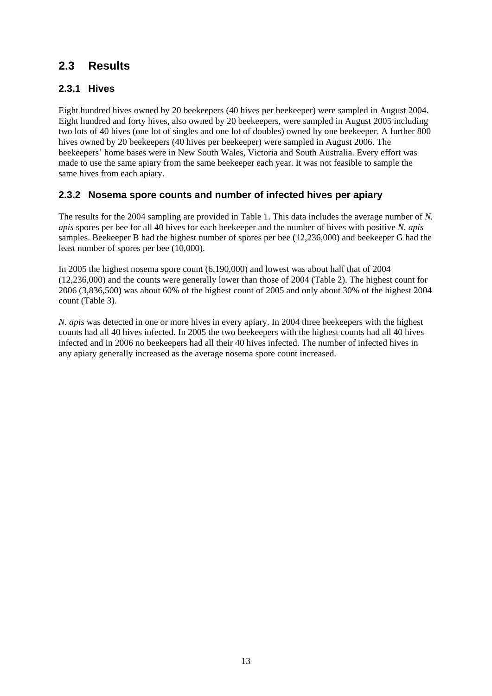## <span id="page-19-0"></span>**2.3 Results**

## **2.3.1 Hives**

Eight hundred hives owned by 20 beekeepers (40 hives per beekeeper) were sampled in August 2004. Eight hundred and forty hives, also owned by 20 beekeepers, were sampled in August 2005 including two lots of 40 hives (one lot of singles and one lot of doubles) owned by one beekeeper. A further 800 hives owned by 20 beekeepers (40 hives per beekeeper) were sampled in August 2006. The beekeepers' home bases were in New South Wales, Victoria and South Australia. Every effort was made to use the same apiary from the same beekeeper each year. It was not feasible to sample the same hives from each apiary.

## **2.3.2 Nosema spore counts and number of infected hives per apiary**

The results for the 2004 sampling are provided in Table 1. This data includes the average number of *N. apis* spores per bee for all 40 hives for each beekeeper and the number of hives with positive *N. apis*  samples. Beekeeper B had the highest number of spores per bee (12,236,000) and beekeeper G had the least number of spores per bee (10,000).

In 2005 the highest nosema spore count (6,190,000) and lowest was about half that of 2004 (12,236,000) and the counts were generally lower than those of 2004 (Table 2). The highest count for 2006 (3,836,500) was about 60% of the highest count of 2005 and only about 30% of the highest 2004 count (Table 3).

*N. apis* was detected in one or more hives in every apiary. In 2004 three beekeepers with the highest counts had all 40 hives infected. In 2005 the two beekeepers with the highest counts had all 40 hives infected and in 2006 no beekeepers had all their 40 hives infected. The number of infected hives in any apiary generally increased as the average nosema spore count increased.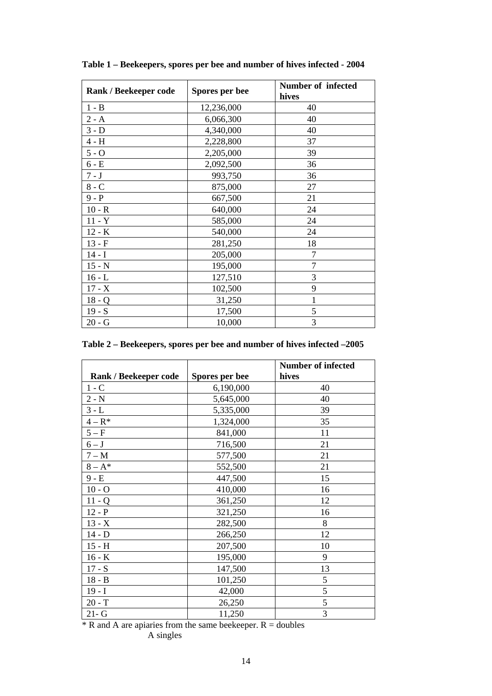| Rank / Beekeeper code | Spores per bee | <b>Number of infected</b><br>hives |
|-----------------------|----------------|------------------------------------|
| $1 - B$               | 12,236,000     | 40                                 |
| $2 - A$               | 6,066,300      | 40                                 |
| $3 - D$               | 4,340,000      | 40                                 |
| $4 - H$               | 2,228,800      | 37                                 |
| $5 - O$               | 2,205,000      | 39                                 |
| $6 - E$               | 2,092,500      | 36                                 |
| $7 - J$               | 993,750        | 36                                 |
| $8 - C$               | 875,000        | 27                                 |
| $9 - P$               | 667,500        | 21                                 |
| $10 - R$              | 640,000        | 24                                 |
| $11 - Y$              | 585,000        | 24                                 |
| $12 - K$              | 540,000        | 24                                 |
| $13 - F$              | 281,250        | 18                                 |
| $14 - I$              | 205,000        | 7                                  |
| $15 - N$              | 195,000        | 7                                  |
| $16 - L$              | 127,510        | 3                                  |
| $17 - X$              | 102,500        | 9                                  |
| $18 - Q$              | 31,250         | $\mathbf{1}$                       |
| $19 - S$              | 17,500         | 5                                  |
| $20 - G$              | 10,000         | 3                                  |

**Table 1 – Beekeepers, spores per bee and number of hives infected - 2004** 

**Table 2 – Beekeepers, spores per bee and number of hives infected –2005** 

|                       |                | <b>Number of infected</b> |
|-----------------------|----------------|---------------------------|
| Rank / Beekeeper code | Spores per bee | hives                     |
| $1 - C$               | 6,190,000      | 40                        |
| $2 - N$               | 5,645,000      | 40                        |
| $3 - L$               | 5,335,000      | 39                        |
| $4 - R^*$             | 1,324,000      | 35                        |
| $5-F$                 | 841,000        | 11                        |
| $6 - J$               | 716,500        | 21                        |
| $7 - M$               | 577,500        | 21                        |
| $8 - A^*$             | 552,500        | 21                        |
| $9 - E$               | 447,500        | 15                        |
| $10 - O$              | 410,000        | 16                        |
| $11 - Q$              | 361,250        | 12                        |
| $12 - P$              | 321,250        | 16                        |
| $13 - X$              | 282,500        | 8                         |
| $14 - D$              | 266,250        | 12                        |
| $15 - H$              | 207,500        | 10                        |
| $16 - K$              | 195,000        | 9                         |
| $17 - S$              | 147,500        | 13                        |
| $18 - B$              | 101,250        | 5                         |
| $19 - I$              | 42,000         | 5                         |
| $20 - T$              | 26,250         | 5                         |
| $21 - G$              | 11,250         | 3                         |

 $*$  R and A are apiaries from the same beekeeper. R = doubles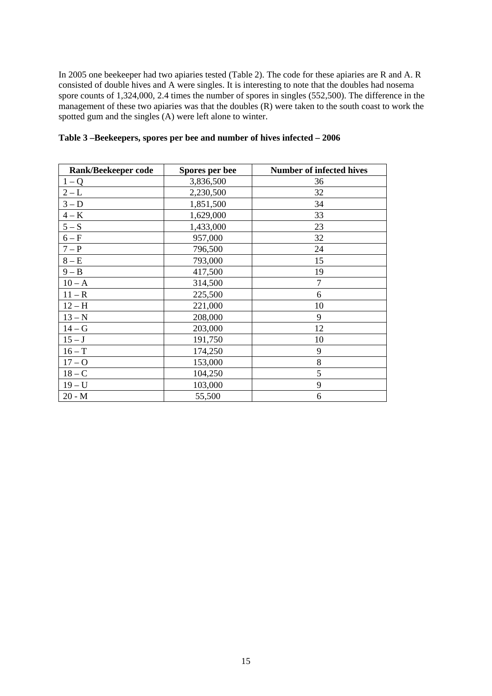In 2005 one beekeeper had two apiaries tested (Table 2). The code for these apiaries are R and A. R consisted of double hives and A were singles. It is interesting to note that the doubles had nosema spore counts of 1,324,000, 2.4 times the number of spores in singles (552,500). The difference in the management of these two apiaries was that the doubles  $(R)$  were taken to the south coast to work the spotted gum and the singles (A) were left alone to winter.

| <b>Rank/Beekeeper code</b> | Spores per bee | <b>Number of infected hives</b> |
|----------------------------|----------------|---------------------------------|
| $1-Q$                      | 3,836,500      | 36                              |
| $2 - L$                    | 2,230,500      | 32                              |
| $3-D$                      | 1,851,500      | 34                              |
| $4 - K$                    | 1,629,000      | 33                              |
| $5-S$                      | 1,433,000      | 23                              |
| $6-F$                      | 957,000        | 32                              |
| $7-P$                      | 796,500        | 24                              |
| $8 - E$                    | 793,000        | 15                              |
| $9 - B$                    | 417,500        | 19                              |
| $10 - A$                   | 314,500        | $\overline{7}$                  |
| $11 - R$                   | 225,500        | 6                               |
| $12-H$                     | 221,000        | 10                              |
| $13 - N$                   | 208,000        | 9                               |
| $14-G$                     | 203,000        | 12                              |
| $15-J$                     | 191,750        | 10                              |
| $16 - T$                   | 174,250        | 9                               |
| $17 - 0$                   | 153,000        | 8                               |
| $18 - C$                   | 104,250        | 5                               |
| $19 - U$                   | 103,000        | 9                               |
| $20 - M$                   | 55,500         | 6                               |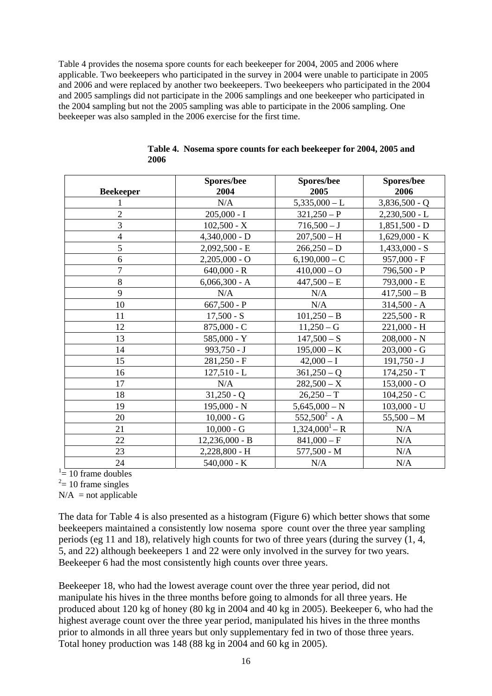Table 4 provides the nosema spore counts for each beekeeper for 2004, 2005 and 2006 where applicable. Two beekeepers who participated in the survey in 2004 were unable to participate in 2005 and 2006 and were replaced by another two beekeepers. Two beekeepers who participated in the 2004 and 2005 samplings did not participate in the 2006 samplings and one beekeeper who participated in the 2004 sampling but not the 2005 sampling was able to participate in the 2006 sampling. One beekeeper was also sampled in the 2006 exercise for the first time.

|                  | Spores/bee       | <b>Spores/bee</b> | Spores/bee      |
|------------------|------------------|-------------------|-----------------|
| <b>Beekeeper</b> | 2004             | 2005              | 2006            |
|                  | N/A              | $5,335,000 - L$   | $3,836,500 - Q$ |
| $\overline{2}$   | $205,000 - I$    | $321,250 - P$     | $2,230,500 - L$ |
| $\overline{3}$   | $102,500 - X$    | $716,500 - J$     | $1,851,500 - D$ |
| $\overline{4}$   | $4,340,000 - D$  | $207,500 - H$     | $1,629,000 - K$ |
| 5                | $2,092,500 - E$  | $266,250 - D$     | $1,433,000 - S$ |
| 6                | $2,205,000 - O$  | $6,190,000 - C$   | $957,000 - F$   |
| $\overline{7}$   | $640,000 - R$    | $410,000 - O$     | 796,500 - P     |
| 8                | $6,066,300 - A$  | $447,500 - E$     | 793,000 - E     |
| 9                | N/A              | N/A               | $417,500 - B$   |
| 10               | $667,500 - P$    | N/A               | $314,500 - A$   |
| 11               | $17,500 - S$     | $101,250 - B$     | $225,500 - R$   |
| 12               | $875,000 - C$    | $11,250-G$        | $221,000 - H$   |
| 13               | $585,000 - Y$    | $147,500-S$       | $208,000 - N$   |
| 14               | $993,750 - J$    | $195,000 - K$     | $203,000 - G$   |
| 15               | $281,250 - F$    | $42,000 - I$      | $191,750 - J$   |
| 16               | $127,510 - L$    | $361,250 - Q$     | $174,250 - T$   |
| 17               | N/A              | $282,500 - X$     | $153,000 - O$   |
| 18               | $31,250 - Q$     | $26,250-T$        | $104,250 - C$   |
| 19               | $195,000 - N$    | $5,645,000 - N$   | $103,000 - U$   |
| 20               | $10,000 - G$     | $552,500^2$ - A   | $55,500 - M$    |
| 21               | $10,000 - G$     | $1,324,000^1 - R$ | N/A             |
| 22               | $12,236,000 - B$ | $841,000 - F$     | N/A             |
| 23               | 2,228,800 - H    | $577,500 - M$     | N/A             |
| 24               | $540,000 - K$    | N/A               | N/A             |

|      | Table 4. Nosema spore counts for each beekeeper for 2004, 2005 and |  |  |  |
|------|--------------------------------------------------------------------|--|--|--|
| 2006 |                                                                    |  |  |  |

 $1 = 10$  frame doubles

 $2 = 10$  frame singles

 $N/A$  = not applicable

The data for Table 4 is also presented as a histogram (Figure 6) which better shows that some beekeepers maintained a consistently low nosema spore count over the three year sampling periods (eg 11 and 18), relatively high counts for two of three years (during the survey (1, 4, 5, and 22) although beekeepers 1 and 22 were only involved in the survey for two years. Beekeeper 6 had the most consistently high counts over three years.

Beekeeper 18, who had the lowest average count over the three year period, did not manipulate his hives in the three months before going to almonds for all three years. He produced about 120 kg of honey (80 kg in 2004 and 40 kg in 2005). Beekeeper 6, who had the highest average count over the three year period, manipulated his hives in the three months prior to almonds in all three years but only supplementary fed in two of those three years. Total honey production was 148 (88 kg in 2004 and 60 kg in 2005).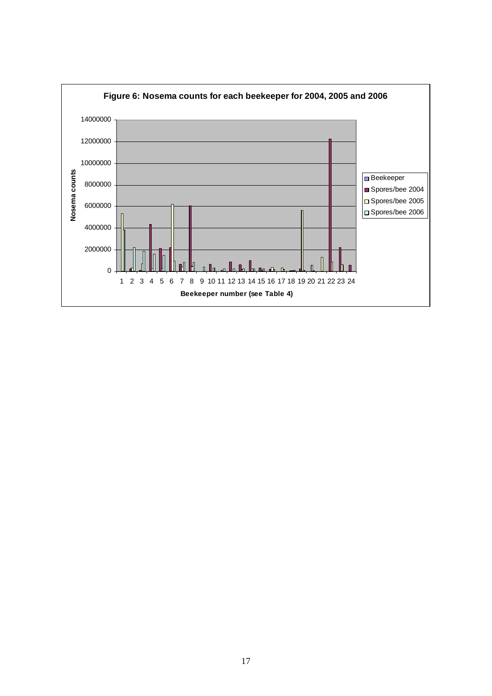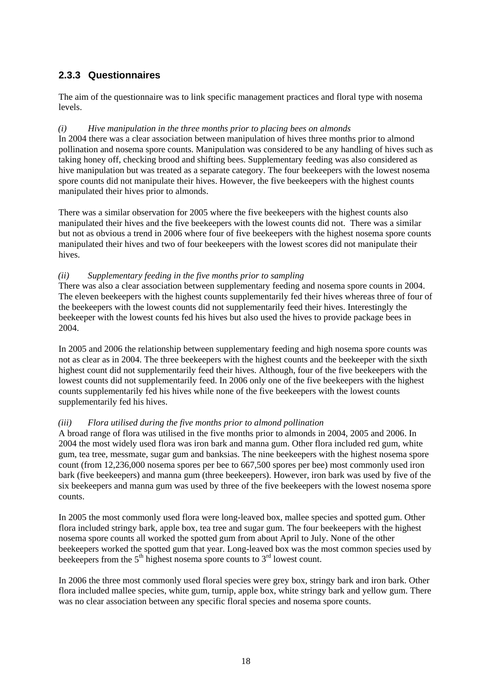## <span id="page-24-0"></span>**2.3.3 Questionnaires**

The aim of the questionnaire was to link specific management practices and floral type with nosema levels.

## *(i) Hive manipulation in the three months prior to placing bees on almonds*

In 2004 there was a clear association between manipulation of hives three months prior to almond pollination and nosema spore counts. Manipulation was considered to be any handling of hives such as taking honey off, checking brood and shifting bees. Supplementary feeding was also considered as hive manipulation but was treated as a separate category. The four beekeepers with the lowest nosema spore counts did not manipulate their hives. However, the five beekeepers with the highest counts manipulated their hives prior to almonds.

There was a similar observation for 2005 where the five beekeepers with the highest counts also manipulated their hives and the five beekeepers with the lowest counts did not. There was a similar but not as obvious a trend in 2006 where four of five beekeepers with the highest nosema spore counts manipulated their hives and two of four beekeepers with the lowest scores did not manipulate their hives.

### *(ii) Supplementary feeding in the five months prior to sampling*

There was also a clear association between supplementary feeding and nosema spore counts in 2004. The eleven beekeepers with the highest counts supplementarily fed their hives whereas three of four of the beekeepers with the lowest counts did not supplementarily feed their hives. Interestingly the beekeeper with the lowest counts fed his hives but also used the hives to provide package bees in 2004.

In 2005 and 2006 the relationship between supplementary feeding and high nosema spore counts was not as clear as in 2004. The three beekeepers with the highest counts and the beekeeper with the sixth highest count did not supplementarily feed their hives. Although, four of the five beekeepers with the lowest counts did not supplementarily feed. In 2006 only one of the five beekeepers with the highest counts supplementarily fed his hives while none of the five beekeepers with the lowest counts supplementarily fed his hives.

## *(iii) Flora utilised during the five months prior to almond pollination*

A broad range of flora was utilised in the five months prior to almonds in 2004, 2005 and 2006. In 2004 the most widely used flora was iron bark and manna gum. Other flora included red gum, white gum, tea tree, messmate, sugar gum and banksias. The nine beekeepers with the highest nosema spore count (from 12,236,000 nosema spores per bee to 667,500 spores per bee) most commonly used iron bark (five beekeepers) and manna gum (three beekeepers). However, iron bark was used by five of the six beekeepers and manna gum was used by three of the five beekeepers with the lowest nosema spore counts.

In 2005 the most commonly used flora were long-leaved box, mallee species and spotted gum. Other flora included stringy bark, apple box, tea tree and sugar gum. The four beekeepers with the highest nosema spore counts all worked the spotted gum from about April to July. None of the other beekeepers worked the spotted gum that year. Long-leaved box was the most common species used by beekeepers from the  $5<sup>th</sup>$  highest nosema spore counts to  $3<sup>rd</sup>$  lowest count.

In 2006 the three most commonly used floral species were grey box, stringy bark and iron bark. Other flora included mallee species, white gum, turnip, apple box, white stringy bark and yellow gum. There was no clear association between any specific floral species and nosema spore counts.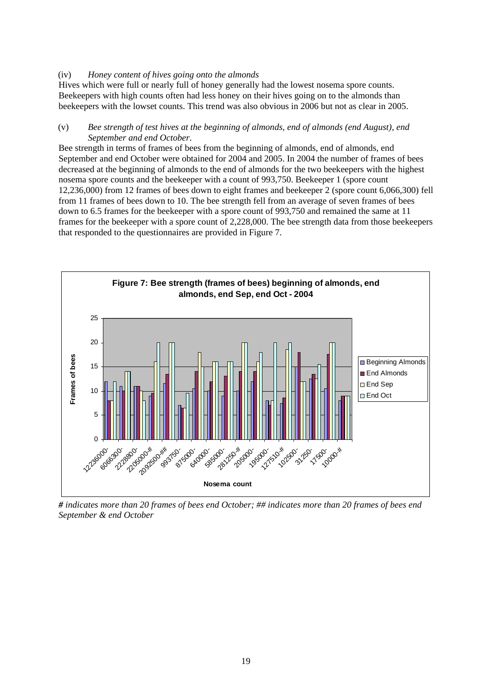### (iv) *Honey content of hives going onto the almonds*

Hives which were full or nearly full of honey generally had the lowest nosema spore counts. Beekeepers with high counts often had less honey on their hives going on to the almonds than beekeepers with the lowset counts. This trend was also obvious in 2006 but not as clear in 2005.

#### (v) *Bee strength of test hives at the beginning of almonds, end of almonds (end August), end September and end October*.

Bee strength in terms of frames of bees from the beginning of almonds, end of almonds, end September and end October were obtained for 2004 and 2005. In 2004 the number of frames of bees decreased at the beginning of almonds to the end of almonds for the two beekeepers with the highest nosema spore counts and the beekeeper with a count of 993,750. Beekeeper 1 (spore count 12,236,000) from 12 frames of bees down to eight frames and beekeeper 2 (spore count 6,066,300) fell from 11 frames of bees down to 10. The bee strength fell from an average of seven frames of bees down to 6.5 frames for the beekeeper with a spore count of 993,750 and remained the same at 11 frames for the beekeeper with a spore count of 2,228,000. The bee strength data from those beekeepers that responded to the questionnaires are provided in Figure 7.



*# indicates more than 20 frames of bees end October; ## indicates more than 20 frames of bees end September & end October*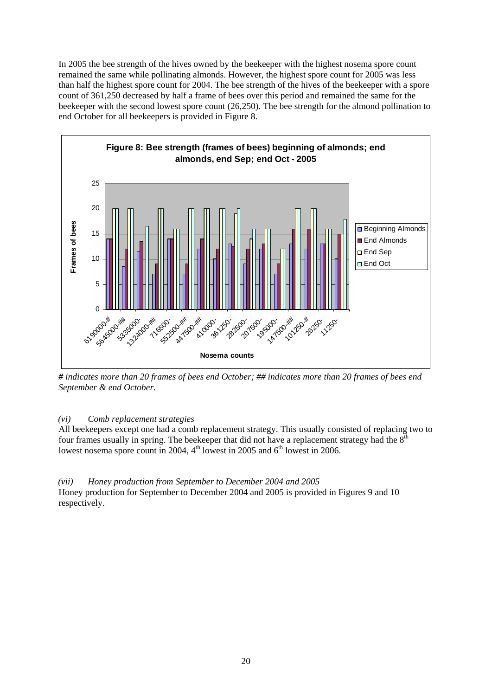In 2005 the bee strength of the hives owned by the beekeeper with the highest nosema spore count remained the same while pollinating almonds. However, the highest spore count for 2005 was less than half the highest spore count for 2004. The bee strength of the hives of the beekeeper with a spore count of 361,250 decreased by half a frame of bees over this period and remained the same for the beekeeper with the second lowest spore count (26,250). The bee strength for the almond pollination to end October for all beekeepers is provided in Figure 8.



*# indicates more than 20 frames of bees end October; ## indicates more than 20 frames of bees end September & end October.* 

## *(vi) Comb replacement strategies*

All beekeepers except one had a comb replacement strategy. This usually consisted of replacing two to four frames usually in spring. The beekeeper that did not have a replacement strategy had the  $8<sup>th</sup>$ lowest nosema spore count in 2004,  $4<sup>th</sup>$  lowest in 2005 and  $6<sup>th</sup>$  lowest in 2006.

*(vii) Honey production from September to December 2004 and 2005*  Honey production for September to December 2004 and 2005 is provided in Figures 9 and 10 respectively.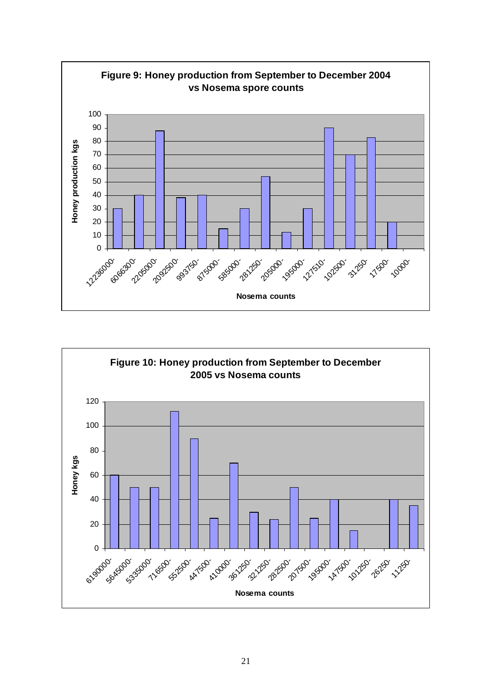

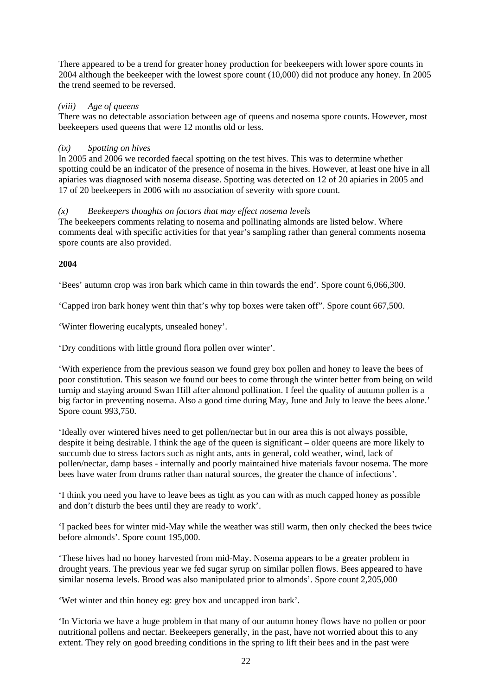There appeared to be a trend for greater honey production for beekeepers with lower spore counts in 2004 although the beekeeper with the lowest spore count (10,000) did not produce any honey. In 2005 the trend seemed to be reversed.

### *(viii) Age of queens*

There was no detectable association between age of queens and nosema spore counts. However, most beekeepers used queens that were 12 months old or less.

## *(ix) Spotting on hives*

In 2005 and 2006 we recorded faecal spotting on the test hives. This was to determine whether spotting could be an indicator of the presence of nosema in the hives. However, at least one hive in all apiaries was diagnosed with nosema disease. Spotting was detected on 12 of 20 apiaries in 2005 and 17 of 20 beekeepers in 2006 with no association of severity with spore count.

### *(x) Beekeepers thoughts on factors that may effect nosema levels*

The beekeepers comments relating to nosema and pollinating almonds are listed below. Where comments deal with specific activities for that year's sampling rather than general comments nosema spore counts are also provided.

### **2004**

'Bees' autumn crop was iron bark which came in thin towards the end'. Spore count 6,066,300.

'Capped iron bark honey went thin that's why top boxes were taken off". Spore count 667,500.

'Winter flowering eucalypts, unsealed honey'.

'Dry conditions with little ground flora pollen over winter'.

'With experience from the previous season we found grey box pollen and honey to leave the bees of poor constitution. This season we found our bees to come through the winter better from being on wild turnip and staying around Swan Hill after almond pollination. I feel the quality of autumn pollen is a big factor in preventing nosema. Also a good time during May, June and July to leave the bees alone.' Spore count 993,750.

'Ideally over wintered hives need to get pollen/nectar but in our area this is not always possible, despite it being desirable. I think the age of the queen is significant – older queens are more likely to succumb due to stress factors such as night ants, ants in general, cold weather, wind, lack of pollen/nectar, damp bases - internally and poorly maintained hive materials favour nosema. The more bees have water from drums rather than natural sources, the greater the chance of infections'.

'I think you need you have to leave bees as tight as you can with as much capped honey as possible and don't disturb the bees until they are ready to work'.

'I packed bees for winter mid-May while the weather was still warm, then only checked the bees twice before almonds'. Spore count 195,000.

'These hives had no honey harvested from mid-May. Nosema appears to be a greater problem in drought years. The previous year we fed sugar syrup on similar pollen flows. Bees appeared to have similar nosema levels. Brood was also manipulated prior to almonds'. Spore count 2,205,000

'Wet winter and thin honey eg: grey box and uncapped iron bark'.

'In Victoria we have a huge problem in that many of our autumn honey flows have no pollen or poor nutritional pollens and nectar. Beekeepers generally, in the past, have not worried about this to any extent. They rely on good breeding conditions in the spring to lift their bees and in the past were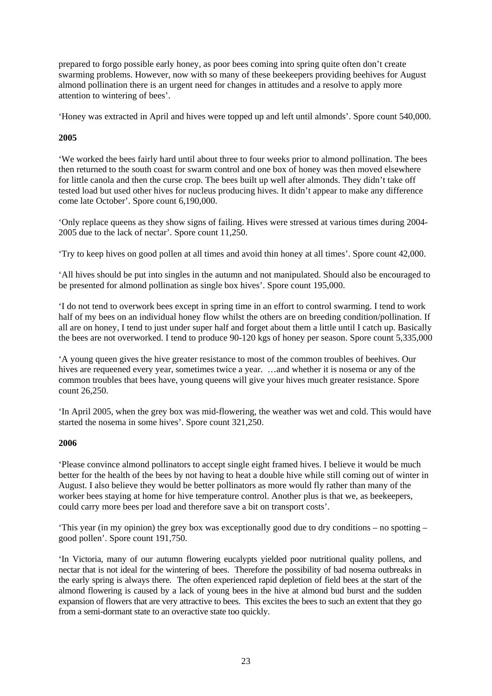prepared to forgo possible early honey, as poor bees coming into spring quite often don't create swarming problems. However, now with so many of these beekeepers providing beehives for August almond pollination there is an urgent need for changes in attitudes and a resolve to apply more attention to wintering of bees'.

'Honey was extracted in April and hives were topped up and left until almonds'. Spore count 540,000.

## **2005**

'We worked the bees fairly hard until about three to four weeks prior to almond pollination. The bees then returned to the south coast for swarm control and one box of honey was then moved elsewhere for little canola and then the curse crop. The bees built up well after almonds. They didn't take off tested load but used other hives for nucleus producing hives. It didn't appear to make any difference come late October'. Spore count 6,190,000.

'Only replace queens as they show signs of failing. Hives were stressed at various times during 2004- 2005 due to the lack of nectar'. Spore count 11,250.

'Try to keep hives on good pollen at all times and avoid thin honey at all times'. Spore count 42,000.

'All hives should be put into singles in the autumn and not manipulated. Should also be encouraged to be presented for almond pollination as single box hives'. Spore count 195,000.

'I do not tend to overwork bees except in spring time in an effort to control swarming. I tend to work half of my bees on an individual honey flow whilst the others are on breeding condition/pollination. If all are on honey, I tend to just under super half and forget about them a little until I catch up. Basically the bees are not overworked. I tend to produce 90-120 kgs of honey per season. Spore count 5,335,000

'A young queen gives the hive greater resistance to most of the common troubles of beehives. Our hives are requeened every year, sometimes twice a year. ...and whether it is nosema or any of the common troubles that bees have, young queens will give your hives much greater resistance. Spore count 26,250.

'In April 2005, when the grey box was mid-flowering, the weather was wet and cold. This would have started the nosema in some hives'. Spore count 321,250.

### **2006**

'Please convince almond pollinators to accept single eight framed hives. I believe it would be much better for the health of the bees by not having to heat a double hive while still coming out of winter in August. I also believe they would be better pollinators as more would fly rather than many of the worker bees staying at home for hive temperature control. Another plus is that we, as beekeepers, could carry more bees per load and therefore save a bit on transport costs'.

'This year (in my opinion) the grey box was exceptionally good due to dry conditions – no spotting – good pollen'. Spore count 191,750.

'In Victoria, many of our autumn flowering eucalypts yielded poor nutritional quality pollens, and nectar that is not ideal for the wintering of bees. Therefore the possibility of bad nosema outbreaks in the early spring is always there. The often experienced rapid depletion of field bees at the start of the almond flowering is caused by a lack of young bees in the hive at almond bud burst and the sudden expansion of flowers that are very attractive to bees. This excites the bees to such an extent that they go from a semi-dormant state to an overactive state too quickly.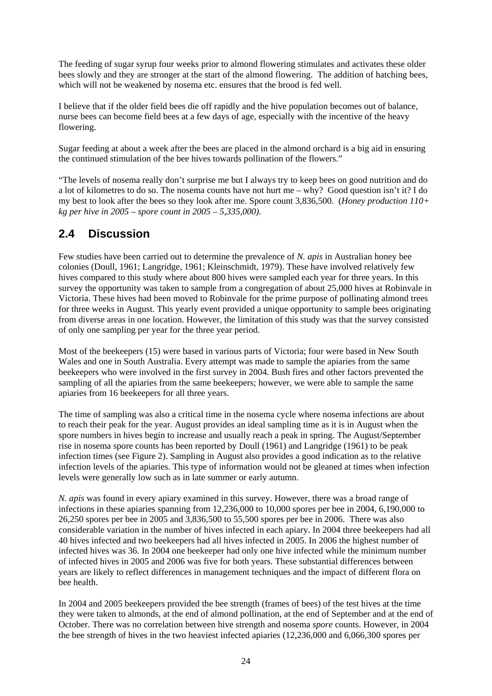<span id="page-30-0"></span>The feeding of sugar syrup four weeks prior to almond flowering stimulates and activates these older bees slowly and they are stronger at the start of the almond flowering. The addition of hatching bees, which will not be weakened by nosema etc. ensures that the brood is fed well.

I believe that if the older field bees die off rapidly and the hive population becomes out of balance, nurse bees can become field bees at a few days of age, especially with the incentive of the heavy flowering.

Sugar feeding at about a week after the bees are placed in the almond orchard is a big aid in ensuring the continued stimulation of the bee hives towards pollination of the flowers."

"The levels of nosema really don't surprise me but I always try to keep bees on good nutrition and do a lot of kilometres to do so. The nosema counts have not hurt me – why? Good question isn't it? I do my best to look after the bees so they look after me. Spore count 3,836,500. (*Honey production 110+ kg per hive in 2005 – spore count in 2005 – 5,335,000).* 

## **2.4 Discussion**

Few studies have been carried out to determine the prevalence of *N. apis* in Australian honey bee colonies (Doull, 1961; Langridge, 1961; Kleinschmidt, 1979). These have involved relatively few hives compared to this study where about 800 hives were sampled each year for three years. In this survey the opportunity was taken to sample from a congregation of about 25,000 hives at Robinvale in Victoria. These hives had been moved to Robinvale for the prime purpose of pollinating almond trees for three weeks in August. This yearly event provided a unique opportunity to sample bees originating from diverse areas in one location. However, the limitation of this study was that the survey consisted of only one sampling per year for the three year period.

Most of the beekeepers (15) were based in various parts of Victoria; four were based in New South Wales and one in South Australia. Every attempt was made to sample the apiaries from the same beekeepers who were involved in the first survey in 2004. Bush fires and other factors prevented the sampling of all the apiaries from the same beekeepers; however, we were able to sample the same apiaries from 16 beekeepers for all three years.

The time of sampling was also a critical time in the nosema cycle where nosema infections are about to reach their peak for the year. August provides an ideal sampling time as it is in August when the spore numbers in hives begin to increase and usually reach a peak in spring. The August/September rise in nosema spore counts has been reported by Doull (1961) and Langridge (1961) to be peak infection times (see Figure 2). Sampling in August also provides a good indication as to the relative infection levels of the apiaries. This type of information would not be gleaned at times when infection levels were generally low such as in late summer or early autumn.

*N. apis* was found in every apiary examined in this survey. However, there was a broad range of infections in these apiaries spanning from 12,236,000 to 10,000 spores per bee in 2004, 6,190,000 to 26,250 spores per bee in 2005 and 3,836,500 to 55,500 spores per bee in 2006. There was also considerable variation in the number of hives infected in each apiary. In 2004 three beekeepers had all 40 hives infected and two beekeepers had all hives infected in 2005. In 2006 the highest number of infected hives was 36. In 2004 one beekeeper had only one hive infected while the minimum number of infected hives in 2005 and 2006 was five for both years. These substantial differences between years are likely to reflect differences in management techniques and the impact of different flora on bee health.

In 2004 and 2005 beekeepers provided the bee strength (frames of bees) of the test hives at the time they were taken to almonds, at the end of almond pollination, at the end of September and at the end of October. There was no correlation between hive strength and nosema *spore* counts. However, in 2004 the bee strength of hives in the two heaviest infected apiaries (12,236,000 and 6,066,300 spores per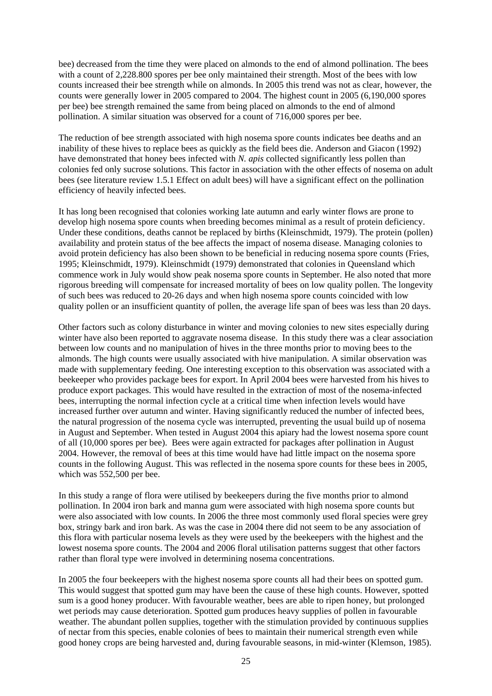bee) decreased from the time they were placed on almonds to the end of almond pollination. The bees with a count of 2,228,800 spores per bee only maintained their strength. Most of the bees with low counts increased their bee strength while on almonds. In 2005 this trend was not as clear, however, the counts were generally lower in 2005 compared to 2004. The highest count in 2005 (6,190,000 spores per bee) bee strength remained the same from being placed on almonds to the end of almond pollination. A similar situation was observed for a count of 716,000 spores per bee.

The reduction of bee strength associated with high nosema spore counts indicates bee deaths and an inability of these hives to replace bees as quickly as the field bees die. Anderson and Giacon (1992) have demonstrated that honey bees infected with *N. apis* collected significantly less pollen than colonies fed only sucrose solutions. This factor in association with the other effects of nosema on adult bees (see literature review 1.5.1 Effect on adult bees) will have a significant effect on the pollination efficiency of heavily infected bees.

It has long been recognised that colonies working late autumn and early winter flows are prone to develop high nosema spore counts when breeding becomes minimal as a result of protein deficiency. Under these conditions, deaths cannot be replaced by births (Kleinschmidt, 1979). The protein (pollen) availability and protein status of the bee affects the impact of nosema disease. Managing colonies to avoid protein deficiency has also been shown to be beneficial in reducing nosema spore counts (Fries, 1995; Kleinschmidt, 1979). Kleinschmidt (1979) demonstrated that colonies in Queensland which commence work in July would show peak nosema spore counts in September. He also noted that more rigorous breeding will compensate for increased mortality of bees on low quality pollen. The longevity of such bees was reduced to 20-26 days and when high nosema spore counts coincided with low quality pollen or an insufficient quantity of pollen, the average life span of bees was less than 20 days.

Other factors such as colony disturbance in winter and moving colonies to new sites especially during winter have also been reported to aggravate nosema disease. In this study there was a clear association between low counts and no manipulation of hives in the three months prior to moving bees to the almonds. The high counts were usually associated with hive manipulation. A similar observation was made with supplementary feeding. One interesting exception to this observation was associated with a beekeeper who provides package bees for export. In April 2004 bees were harvested from his hives to produce export packages. This would have resulted in the extraction of most of the nosema-infected bees, interrupting the normal infection cycle at a critical time when infection levels would have increased further over autumn and winter. Having significantly reduced the number of infected bees, the natural progression of the nosema cycle was interrupted, preventing the usual build up of nosema in August and September. When tested in August 2004 this apiary had the lowest nosema spore count of all (10,000 spores per bee). Bees were again extracted for packages after pollination in August 2004. However, the removal of bees at this time would have had little impact on the nosema spore counts in the following August. This was reflected in the nosema spore counts for these bees in 2005, which was 552,500 per bee.

In this study a range of flora were utilised by beekeepers during the five months prior to almond pollination. In 2004 iron bark and manna gum were associated with high nosema spore counts but were also associated with low counts. In 2006 the three most commonly used floral species were grey box, stringy bark and iron bark. As was the case in 2004 there did not seem to be any association of this flora with particular nosema levels as they were used by the beekeepers with the highest and the lowest nosema spore counts. The 2004 and 2006 floral utilisation patterns suggest that other factors rather than floral type were involved in determining nosema concentrations.

In 2005 the four beekeepers with the highest nosema spore counts all had their bees on spotted gum. This would suggest that spotted gum may have been the cause of these high counts. However, spotted sum is a good honey producer. With favourable weather, bees are able to ripen honey, but prolonged wet periods may cause deterioration. Spotted gum produces heavy supplies of pollen in favourable weather. The abundant pollen supplies, together with the stimulation provided by continuous supplies of nectar from this species, enable colonies of bees to maintain their numerical strength even while good honey crops are being harvested and, during favourable seasons, in mid-winter (Klemson, 1985).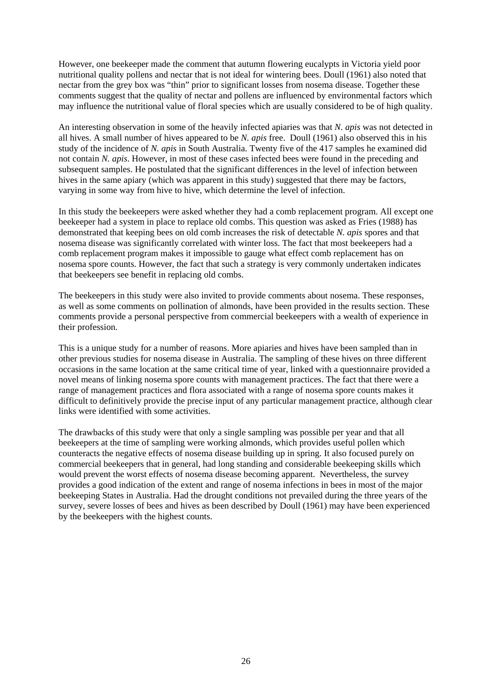However, one beekeeper made the comment that autumn flowering eucalypts in Victoria yield poor nutritional quality pollens and nectar that is not ideal for wintering bees. Doull (1961) also noted that nectar from the grey box was "thin" prior to significant losses from nosema disease. Together these comments suggest that the quality of nectar and pollens are influenced by environmental factors which may influence the nutritional value of floral species which are usually considered to be of high quality.

An interesting observation in some of the heavily infected apiaries was that *N. apis* was not detected in all hives. A small number of hives appeared to be *N. apis* free. Doull (1961) also observed this in his study of the incidence of *N. apis* in South Australia. Twenty five of the 417 samples he examined did not contain *N. apis*. However, in most of these cases infected bees were found in the preceding and subsequent samples. He postulated that the significant differences in the level of infection between hives in the same apiary (which was apparent in this study) suggested that there may be factors, varying in some way from hive to hive, which determine the level of infection.

In this study the beekeepers were asked whether they had a comb replacement program. All except one beekeeper had a system in place to replace old combs. This question was asked as Fries (1988) has demonstrated that keeping bees on old comb increases the risk of detectable *N. apis* spores and that nosema disease was significantly correlated with winter loss. The fact that most beekeepers had a comb replacement program makes it impossible to gauge what effect comb replacement has on nosema spore counts. However, the fact that such a strategy is very commonly undertaken indicates that beekeepers see benefit in replacing old combs.

The beekeepers in this study were also invited to provide comments about nosema. These responses, as well as some comments on pollination of almonds, have been provided in the results section. These comments provide a personal perspective from commercial beekeepers with a wealth of experience in their profession.

This is a unique study for a number of reasons. More apiaries and hives have been sampled than in other previous studies for nosema disease in Australia. The sampling of these hives on three different occasions in the same location at the same critical time of year, linked with a questionnaire provided a novel means of linking nosema spore counts with management practices. The fact that there were a range of management practices and flora associated with a range of nosema spore counts makes it difficult to definitively provide the precise input of any particular management practice, although clear links were identified with some activities.

The drawbacks of this study were that only a single sampling was possible per year and that all beekeepers at the time of sampling were working almonds, which provides useful pollen which counteracts the negative effects of nosema disease building up in spring. It also focused purely on commercial beekeepers that in general, had long standing and considerable beekeeping skills which would prevent the worst effects of nosema disease becoming apparent. Nevertheless, the survey provides a good indication of the extent and range of nosema infections in bees in most of the major beekeeping States in Australia. Had the drought conditions not prevailed during the three years of the survey, severe losses of bees and hives as been described by Doull (1961) may have been experienced by the beekeepers with the highest counts.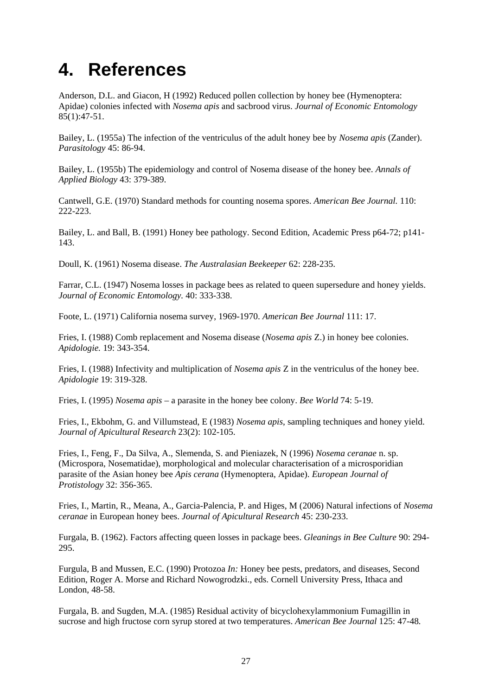# <span id="page-33-0"></span>**4. References**

Anderson, D.L. and Giacon, H (1992) Reduced pollen collection by honey bee (Hymenoptera: Apidae) colonies infected with *Nosema apis* and sacbrood virus. *Journal of Economic Entomology*  85(1):47-51.

Bailey, L. (1955a) The infection of the ventriculus of the adult honey bee by *Nosema apis* (Zander). *Parasitology* 45: 86-94.

Bailey, L. (1955b) The epidemiology and control of Nosema disease of the honey bee. *Annals of Applied Biology* 43: 379-389.

Cantwell, G.E. (1970) Standard methods for counting nosema spores. *American Bee Journal.* 110: 222-223.

Bailey, L. and Ball, B. (1991) Honey bee pathology. Second Edition, Academic Press p64-72; p141- 143.

Doull, K. (1961) Nosema disease. *The Australasian Beekeeper* 62: 228-235.

Farrar, C.L. (1947) Nosema losses in package bees as related to queen supersedure and honey yields. *Journal of Economic Entomology.* 40: 333-338.

Foote, L. (1971) California nosema survey, 1969-1970. *American Bee Journal* 111: 17.

Fries, I. (1988) Comb replacement and Nosema disease (*Nosema apis* Z.) in honey bee colonies. *Apidologie.* 19: 343-354.

Fries, I. (1988) Infectivity and multiplication of *Nosema apis* Z in the ventriculus of the honey bee. *Apidologie* 19: 319-328.

Fries, I. (1995) *Nosema apis* – a parasite in the honey bee colony. *Bee World* 74: 5-19.

Fries, I., Ekbohm, G. and Villumstead, E (1983) *Nosema apis*, sampling techniques and honey yield. *Journal of Apicultural Research* 23(2): 102-105.

Fries, I., Feng, F., Da Silva, A., Slemenda, S. and Pieniazek, N (1996) *Nosema ceranae* n. sp. (Microspora, Nosematidae), morphological and molecular characterisation of a microsporidian parasite of the Asian honey bee *Apis cerana* (Hymenoptera, Apidae). *European Journal of Protistology* 32: 356-365.

Fries, I., Martin, R., Meana, A., Garcia-Palencia, P. and Higes, M (2006) Natural infections of *Nosema ceranae* in European honey bees. *Journal of Apicultural Research* 45: 230-233.

Furgala, B. (1962). Factors affecting queen losses in package bees. *Gleanings in Bee Culture* 90: 294- 295.

Furgula, B and Mussen, E.C. (1990) Protozoa *In:* Honey bee pests, predators, and diseases, Second Edition, Roger A. Morse and Richard Nowogrodzki., eds. Cornell University Press, Ithaca and London, 48-58.

Furgala, B. and Sugden, M.A. (1985) Residual activity of bicyclohexylammonium Fumagillin in sucrose and high fructose corn syrup stored at two temperatures. *American Bee Journal* 125: 47-48*.*